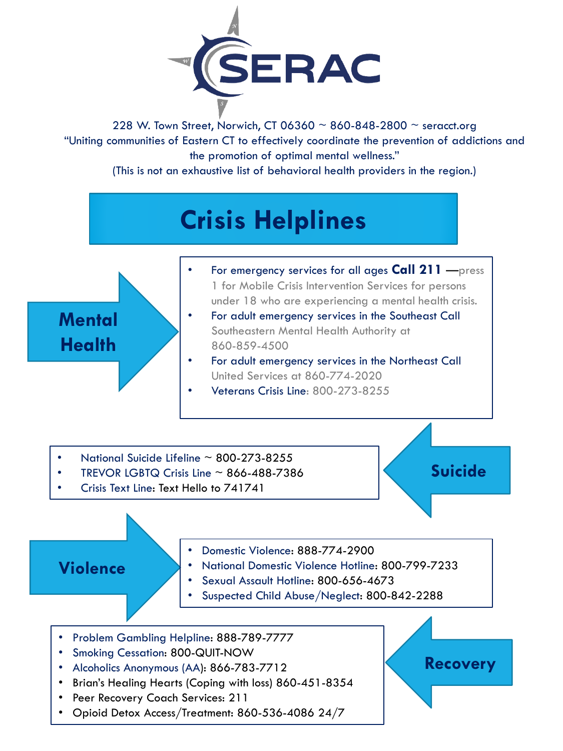

228 W. Town Street, Norwich, CT 06360  $\sim$  860-848-2800  $\sim$  [seracct.org](www.seracct.org) "Uniting communities of Eastern CT to effectively coordinate the prevention of addictions and the promotion of optimal mental wellness."

(This is not an exhaustive list of behavioral health providers in the region.)





**Violence** 

• For emergency services for all ages **Call 211** —press 1 for Mobile Crisis Intervention Services for persons under 18 who are experiencing a mental health crisis.

- For adult emergency services in the Southeast Call Southeastern Mental Health Authority at 860-859-4500
- For adult emergency services in the Northeast Call United Services at 860-774-2020
- Veterans Crisis Line: 800-273-8255
- National Suicide Lifeline  $\sim$  800-273-8255
- TREVOR LGBTQ Crisis Line  $\sim$  866-488-7386
- Crisis Text Line: Text Hello to 741741

## **Suicide**

**Recovery**



- National Domestic Violence Hotline: 800-799-7233
- Sexual Assault Hotline: 800-656-4673
- Suspected Child Abuse/Neglect: 800-842-2288
- Problem Gambling Helpline: 888-789-7777
- Smoking Cessation: 800-QUIT-NOW
- Alcoholics Anonymous (AA): 866-783-7712
- Brian's Healing Hearts (Coping with loss) 860-451-8354
- Peer Recovery Coach Services: 211
- Opioid Detox Access/Treatment: 860-536-4086 24/7